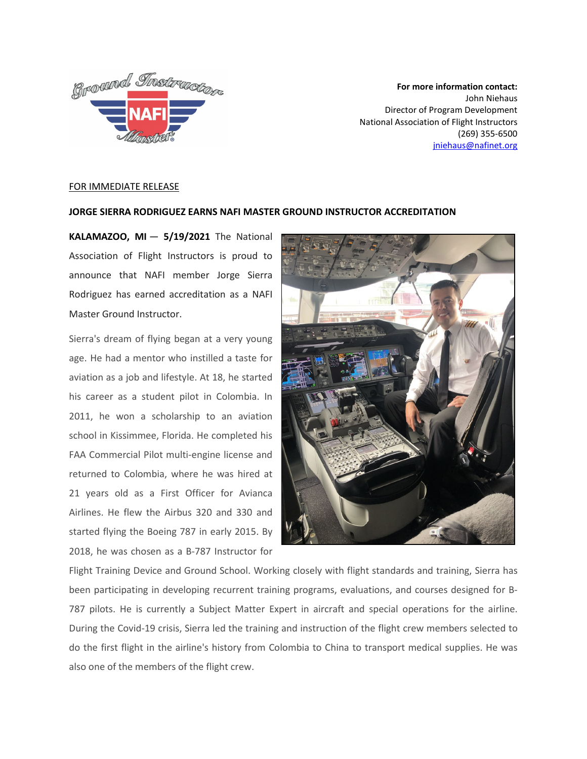

**For more information contact:** John Niehaus Director of Program Development National Association of Flight Instructors (269) 355-6500 [jniehaus@nafinet.org](mailto:jniehaus@nafinet.org)

## FOR IMMEDIATE RELEASE

## **JORGE SIERRA RODRIGUEZ EARNS NAFI MASTER GROUND INSTRUCTOR ACCREDITATION**

**KALAMAZOO, MI** — **5/19/2021** The National Association of Flight Instructors is proud to announce that NAFI member Jorge Sierra Rodriguez has earned accreditation as a NAFI Master Ground Instructor.

Sierra's dream of flying began at a very young age. He had a mentor who instilled a taste for aviation as a job and lifestyle. At 18, he started his career as a student pilot in Colombia. In 2011, he won a scholarship to an aviation school in Kissimmee, Florida. He completed his FAA Commercial Pilot multi-engine license and returned to Colombia, where he was hired at 21 years old as a First Officer for Avianca Airlines. He flew the Airbus 320 and 330 and started flying the Boeing 787 in early 2015. By 2018, he was chosen as a B-787 Instructor for



Flight Training Device and Ground School. Working closely with flight standards and training, Sierra has been participating in developing recurrent training programs, evaluations, and courses designed for B-787 pilots. He is currently a Subject Matter Expert in aircraft and special operations for the airline. During the Covid-19 crisis, Sierra led the training and instruction of the flight crew members selected to do the first flight in the airline's history from Colombia to China to transport medical supplies. He was also one of the members of the flight crew.